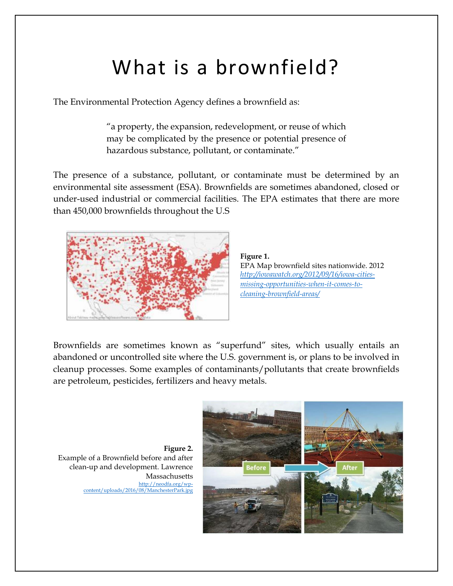## What is a brownfield?

The Environmental Protection Agency defines a brownfield as:

"a property, the expansion, redevelopment, or reuse of which may be complicated by the presence or potential presence of hazardous substance, pollutant, or contaminate."

The presence of a substance, pollutant, or contaminate must be determined by an environmental site assessment (ESA). Brownfields are sometimes abandoned, closed or under-used industrial or commercial facilities. The EPA estimates that there are more than 450,000 brownfields throughout the U.S



**Figure 1.**  EPA Map brownfield sites nationwide. 2012 *[http://iowawatch.org/2012/09/16/iowa-cities](http://iowawatch.org/2012/09/16/iowa-cities-missing-opportunities-when-it-comes-to-cleaning-brownfield-areas/)[missing-opportunities-when-it-comes-to](http://iowawatch.org/2012/09/16/iowa-cities-missing-opportunities-when-it-comes-to-cleaning-brownfield-areas/)[cleaning-brownfield-areas/](http://iowawatch.org/2012/09/16/iowa-cities-missing-opportunities-when-it-comes-to-cleaning-brownfield-areas/)*

Brownfields are sometimes known as "superfund" sites, which usually entails an abandoned or uncontrolled site where the U.S. government is, or plans to be involved in cleanup processes. Some examples of contaminants/pollutants that create brownfields are petroleum, pesticides, fertilizers and heavy metals.

**Figure 2.**  Example of a Brownfield before and after clean-up and development. Lawrence Massachusetts [http://neodfa.org/wp](http://neodfa.org/wp-content/uploads/2016/08/ManchesterPark.jpg)[content/uploads/2016/08/ManchesterPark.jpg](http://neodfa.org/wp-content/uploads/2016/08/ManchesterPark.jpg)